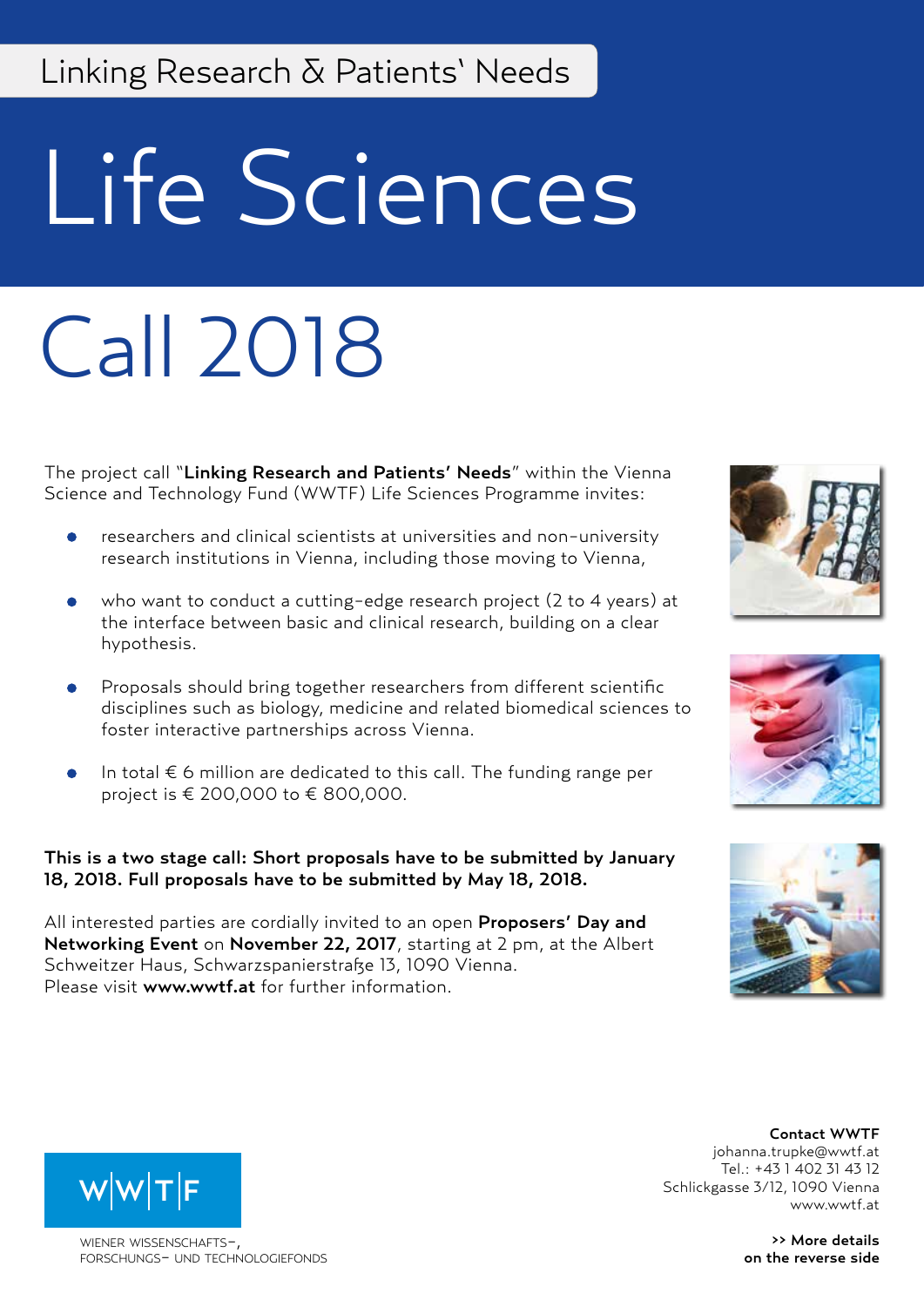# Linking Research & Patients' Needs

# Life Sciences

# Call 2018

The project call "Linking Research and Patients' Needs" within the Vienna Science and Technology Fund (WWTF) Life Sciences Programme invites:

- researchers and clinical scientists at universities and non-university research institutions in Vienna, including those moving to Vienna,
- who want to conduct a cutting-edge research project (2 to 4 years) at the interface between basic and clinical research, building on a clear hypothesis.
- Proposals should bring together researchers from different scientific disciplines such as biology, medicine and related biomedical sciences to foster interactive partnerships across Vienna.
- In total  $\epsilon$  6 million are dedicated to this call. The funding range per project is € 200,000 to € 800,000.

#### This is a two stage call: Short proposals have to be submitted by January 18, 2018. Full proposals have to be submitted by May 18, 2018.

All interested parties are cordially invited to an open Proposers' Day and Networking Event on November 22, 2017, starting at 2 pm, at the Albert Schweitzer Haus, Schwarzspanierstraße 13, 1090 Vienna. Please visit www.wwtf.at for further information.







Contact WWTF johanna.trupke@wwtf.at Tel.: +43 1 402 31 43 12 Schlickgasse 3/12, 1090 Vienna www.wwtf.at

> >> More details on the reverse side



WIENER WISSENSCHAFTSforschungs- und technologiefonds